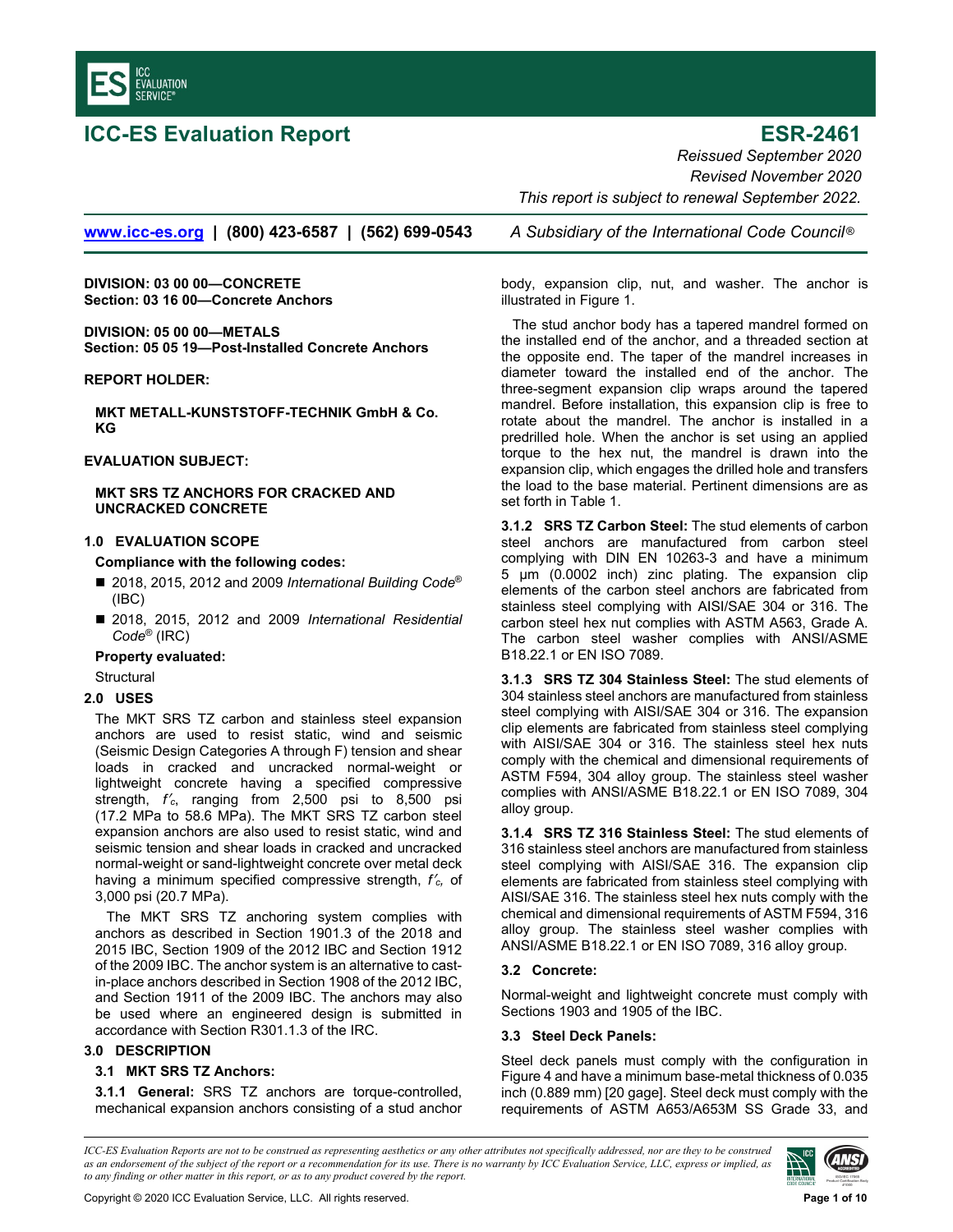

**ICC-ES Evaluation Report CONTEX CONTEXT ESR-2461** *Reissued September 2020 Revised November 2020 This report is subject to renewal September 2022.* 

**www.icc-es.org | (800) 423-6587 | (562) 699-0543** *A Subsidiary of the International Code Council* ®

**DIVISION: 03 00 00—CONCRETE Section: 03 16 00—Concrete Anchors** 

**DIVISION: 05 00 00—METALS Section: 05 05 19—Post-Installed Concrete Anchors** 

#### **REPORT HOLDER:**

**MKT METALL-KUNSTSTOFF-TECHNIK GmbH & Co. KG**

# **EVALUATION SUBJECT:**

## **MKT SRS TZ ANCHORS FOR CRACKED AND UNCRACKED CONCRETE**

# **1.0 EVALUATION SCOPE**

**Compliance with the following codes:**

- 2018, 2015, 2012 and 2009 *International Building Code<sup>®</sup>* (IBC)
- 2018, 2015, 2012 and 2009 *International Residential Code*® (IRC)

## **Property evaluated:**

**Structural** 

## **2.0 USES**

The MKT SRS TZ carbon and stainless steel expansion anchors are used to resist static, wind and seismic (Seismic Design Categories A through F) tension and shear loads in cracked and uncracked normal-weight or lightweight concrete having a specified compressive strength, *f*′*c*, ranging from 2,500 psi to 8,500 psi (17.2 MPa to 58.6 MPa). The MKT SRS TZ carbon steel expansion anchors are also used to resist static, wind and seismic tension and shear loads in cracked and uncracked normal-weight or sand-lightweight concrete over metal deck having a minimum specified compressive strength, *f*′*c,* of 3,000 psi (20.7 MPa).

The MKT SRS TZ anchoring system complies with anchors as described in Section 1901.3 of the 2018 and 2015 IBC, Section 1909 of the 2012 IBC and Section 1912 of the 2009 IBC. The anchor system is an alternative to castin-place anchors described in Section 1908 of the 2012 IBC, and Section 1911 of the 2009 IBC. The anchors may also be used where an engineered design is submitted in accordance with Section R301.1.3 of the IRC.

# **3.0 DESCRIPTION**

## **3.1 MKT SRS TZ Anchors:**

**3.1.1 General:** SRS TZ anchors are torque-controlled, mechanical expansion anchors consisting of a stud anchor

body, expansion clip, nut, and washer. The anchor is illustrated in Figure 1.

The stud anchor body has a tapered mandrel formed on the installed end of the anchor, and a threaded section at the opposite end. The taper of the mandrel increases in diameter toward the installed end of the anchor. The three-segment expansion clip wraps around the tapered mandrel. Before installation, this expansion clip is free to rotate about the mandrel. The anchor is installed in a predrilled hole. When the anchor is set using an applied torque to the hex nut, the mandrel is drawn into the expansion clip, which engages the drilled hole and transfers the load to the base material. Pertinent dimensions are as set forth in Table 1.

**3.1.2 SRS TZ Carbon Steel:** The stud elements of carbon steel anchors are manufactured from carbon steel complying with DIN EN 10263-3 and have a minimum 5 μm (0.0002 inch) zinc plating. The expansion clip elements of the carbon steel anchors are fabricated from stainless steel complying with AISI/SAE 304 or 316. The carbon steel hex nut complies with ASTM A563, Grade A. The carbon steel washer complies with ANSI/ASME B18.22.1 or EN ISO 7089.

**3.1.3 SRS TZ 304 Stainless Steel:** The stud elements of 304 stainless steel anchors are manufactured from stainless steel complying with AISI/SAE 304 or 316. The expansion clip elements are fabricated from stainless steel complying with AISI/SAE 304 or 316. The stainless steel hex nuts comply with the chemical and dimensional requirements of ASTM F594, 304 alloy group. The stainless steel washer complies with ANSI/ASME B18.22.1 or EN ISO 7089, 304 alloy group.

**3.1.4 SRS TZ 316 Stainless Steel:** The stud elements of 316 stainless steel anchors are manufactured from stainless steel complying with AISI/SAE 316. The expansion clip elements are fabricated from stainless steel complying with AISI/SAE 316. The stainless steel hex nuts comply with the chemical and dimensional requirements of ASTM F594, 316 alloy group. The stainless steel washer complies with ANSI/ASME B18.22.1 or EN ISO 7089, 316 alloy group.

## **3.2 Concrete:**

Normal-weight and lightweight concrete must comply with Sections 1903 and 1905 of the IBC.

### **3.3 Steel Deck Panels:**

Steel deck panels must comply with the configuration in Figure 4 and have a minimum base-metal thickness of 0.035 inch (0.889 mm) [20 gage]. Steel deck must comply with the requirements of ASTM A653/A653M SS Grade 33, and

*ICC-ES Evaluation Reports are not to be construed as representing aesthetics or any other attributes not specifically addressed, nor are they to be construed as an endorsement of the subject of the report or a recommendation for its use. There is no warranty by ICC Evaluation Service, LLC, express or implied, as to any finding or other matter in this report, or as to any product covered by the report.*

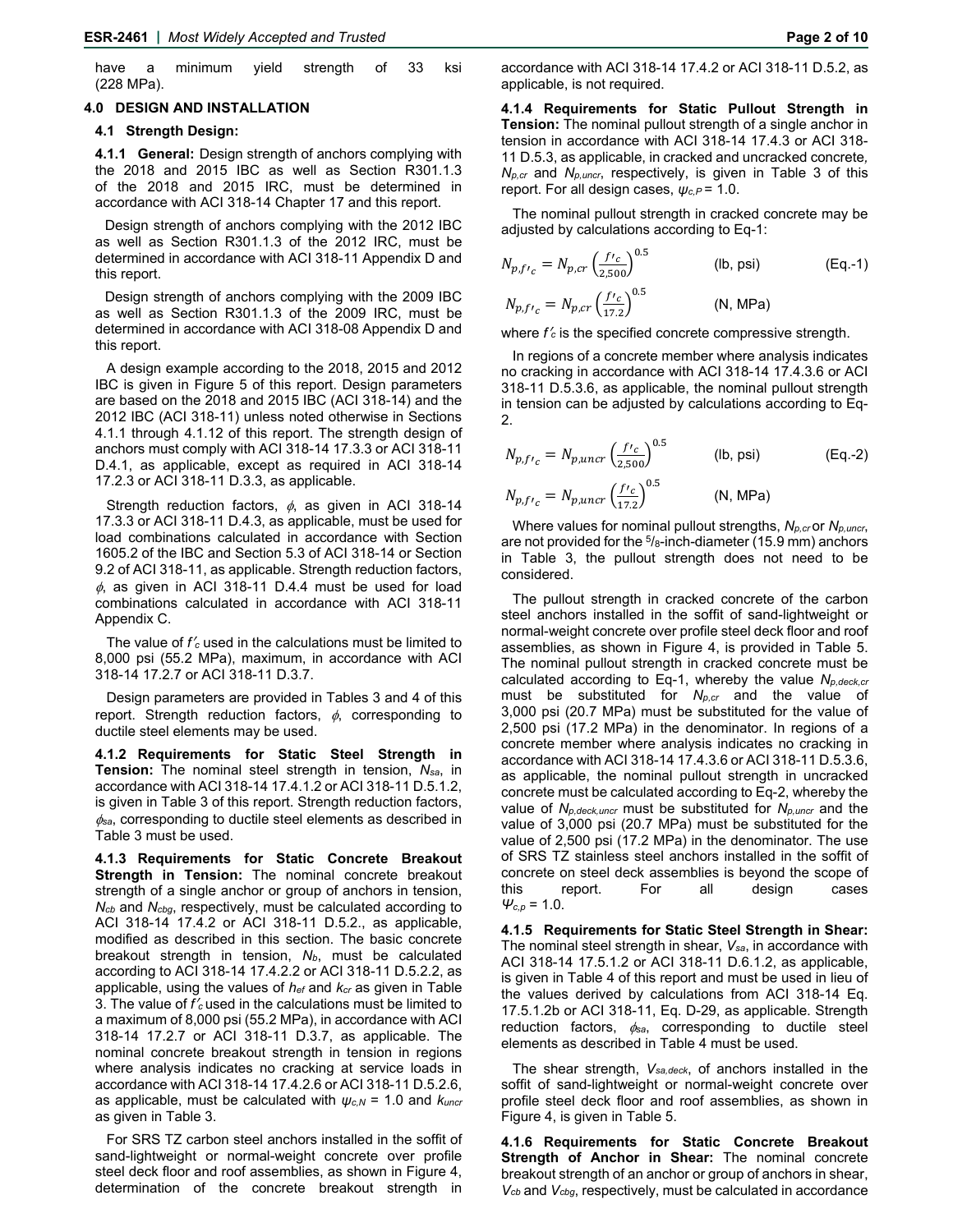have a minimum yield strength of 33 ksi (228 MPa).

#### **4.0 DESIGN AND INSTALLATION**

#### **4.1 Strength Design:**

**4.1.1 General:** Design strength of anchors complying with the 2018 and 2015 IBC as well as Section R301.1.3 of the 2018 and 2015 IRC, must be determined in accordance with ACI 318-14 Chapter 17 and this report.

 Design strength of anchors complying with the 2012 IBC as well as Section R301.1.3 of the 2012 IRC, must be determined in accordance with ACI 318-11 Appendix D and this report.

 Design strength of anchors complying with the 2009 IBC as well as Section R301.1.3 of the 2009 IRC, must be determined in accordance with ACI 318-08 Appendix D and this report.

A design example according to the 2018, 2015 and 2012 IBC is given in Figure 5 of this report. Design parameters are based on the 2018 and 2015 IBC (ACI 318-14) and the 2012 IBC (ACI 318-11) unless noted otherwise in Sections 4.1.1 through 4.1.12 of this report. The strength design of anchors must comply with ACI 318-14 17.3.3 or ACI 318-11 D.4.1, as applicable, except as required in ACI 318-14 17.2.3 or ACI 318-11 D.3.3, as applicable.

Strength reduction factors,  $\phi$ , as given in ACI 318-14 17.3.3 or ACI 318-11 D.4.3, as applicable, must be used for load combinations calculated in accordance with Section 1605.2 of the IBC and Section 5.3 of ACI 318-14 or Section 9.2 of ACI 318-11, as applicable. Strength reduction factors,  $\phi$ , as given in ACI 318-11 D.4.4 must be used for load combinations calculated in accordance with ACI 318-11 Appendix C.

The value of *f*′*c* used in the calculations must be limited to 8,000 psi (55.2 MPa), maximum, in accordance with ACI 318-14 17.2.7 or ACI 318-11 D.3.7.

Design parameters are provided in Tables 3 and 4 of this report. Strength reduction factors,  $\phi$ , corresponding to ductile steel elements may be used.

**4.1.2 Requirements for Static Steel Strength in Tension:** The nominal steel strength in tension, *Nsa*, in accordance with ACI 318-14 17.4.1.2 or ACI 318-11 D.5.1.2, is given in Table 3 of this report. Strength reduction factors,  $\phi_{\text{sa}}$ , corresponding to ductile steel elements as described in Table 3 must be used.

**4.1.3 Requirements for Static Concrete Breakout Strength in Tension:** The nominal concrete breakout strength of a single anchor or group of anchors in tension, *Ncb* and *Ncbg*, respectively, must be calculated according to ACI 318-14 17.4.2 or ACI 318-11 D.5.2., as applicable, modified as described in this section. The basic concrete breakout strength in tension,  $N_b$ , must be calculated according to ACI 318-14 17.4.2.2 or ACI 318-11 D.5.2.2, as applicable, using the values of *hef* and *kcr* as given in Table 3. The value of *f*′*c* used in the calculations must be limited to a maximum of 8,000 psi (55.2 MPa), in accordance with ACI 318-14 17.2.7 or ACI 318-11 D.3.7, as applicable. The nominal concrete breakout strength in tension in regions where analysis indicates no cracking at service loads in accordance with ACI 318-14 17.4.2.6 or ACI 318-11 D.5.2.6, as applicable, must be calculated with *ψc,N* = 1.0 and *kuncr* as given in Table 3.

For SRS TZ carbon steel anchors installed in the soffit of sand-lightweight or normal-weight concrete over profile steel deck floor and roof assemblies, as shown in Figure 4, determination of the concrete breakout strength in **4.1.4 Requirements for Static Pullout Strength in Tension:** The nominal pullout strength of a single anchor in tension in accordance with ACI 318-14 17.4.3 or ACI 318- 11 D.5.3, as applicable, in cracked and uncracked concrete*, Np,cr* and *Np,uncr*, respectively, is given in Table 3 of this report. For all design cases, *ψc,P* = 1.0.

The nominal pullout strength in cracked concrete may be adjusted by calculations according to Eq-1:

$$
N_{p,fr_c} = N_{p,cr} \left(\frac{fr_c}{2,500}\right)^{0.5}
$$
 (lb, psi) (Eq.-1)  
\n
$$
N_{p,fr_c} = N_{p,cr} \left(\frac{fr_c}{17.2}\right)^{0.5}
$$
 (N, MPa)

where *f*′*c* is the specified concrete compressive strength.

In regions of a concrete member where analysis indicates no cracking in accordance with ACI 318-14 17.4.3.6 or ACI 318-11 D.5.3.6, as applicable, the nominal pullout strength in tension can be adjusted by calculations according to Eq-2.

$$
N_{p,fr_c} = N_{p,uncr} \left(\frac{fr_c}{2,500}\right)^{0.5}
$$
 (lb, psi) (Eq.-2)  
\n
$$
N_{p,fr_c} = N_{p,uncr} \left(\frac{fr_c}{17.2}\right)^{0.5}
$$
 (N, MPa)

Where values for nominal pullout strengths, *Np,cr* or *Np,uncr*, are not provided for the  $\frac{5}{8}$ -inch-diameter (15.9 mm) anchors in Table 3, the pullout strength does not need to be considered.

The pullout strength in cracked concrete of the carbon steel anchors installed in the soffit of sand-lightweight or normal-weight concrete over profile steel deck floor and roof assemblies, as shown in Figure 4, is provided in Table 5. The nominal pullout strength in cracked concrete must be calculated according to Eq-1, whereby the value *Np,deck,cr* must be substituted for *Np,cr* and the value of 3,000 psi (20.7 MPa) must be substituted for the value of 2,500 psi (17.2 MPa) in the denominator. In regions of a concrete member where analysis indicates no cracking in accordance with ACI 318-14 17.4.3.6 or ACI 318-11 D.5.3.6, as applicable, the nominal pullout strength in uncracked concrete must be calculated according to Eq-2, whereby the value of *Np,deck,uncr* must be substituted for *Np,uncr* and the value of 3,000 psi (20.7 MPa) must be substituted for the value of 2,500 psi (17.2 MPa) in the denominator. The use of SRS TZ stainless steel anchors installed in the soffit of concrete on steel deck assemblies is beyond the scope of this report. For all design cases  $Ψ<sub>c,p</sub> = 1.0.$ 

**4.1.5 Requirements for Static Steel Strength in Shear:** The nominal steel strength in shear, *Vsa*, in accordance with ACI 318-14 17.5.1.2 or ACI 318-11 D.6.1.2, as applicable, is given in Table 4 of this report and must be used in lieu of the values derived by calculations from ACI 318-14 Eq. 17.5.1.2b or ACI 318-11, Eq. D-29, as applicable. Strength reduction factors,  $\phi_{sa}$ , corresponding to ductile steel elements as described in Table 4 must be used.

The shear strength, *Vsa,deck*, of anchors installed in the soffit of sand-lightweight or normal-weight concrete over profile steel deck floor and roof assemblies, as shown in Figure 4, is given in Table 5.

**4.1.6 Requirements for Static Concrete Breakout Strength of Anchor in Shear:** The nominal concrete breakout strength of an anchor or group of anchors in shear, *Vcb* and *Vcbg*, respectively, must be calculated in accordance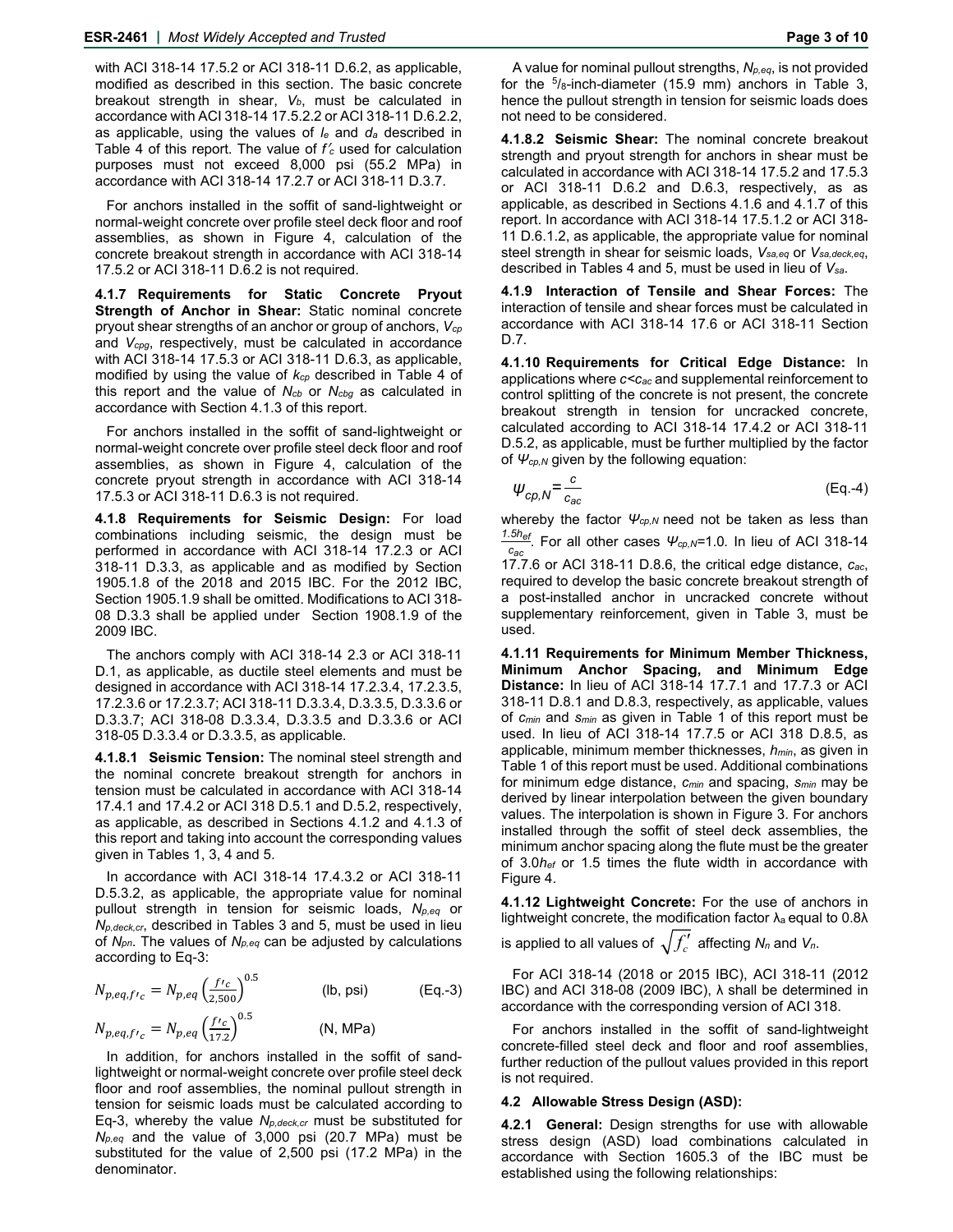with ACI 318-14 17.5.2 or ACI 318-11 D.6.2, as applicable, modified as described in this section. The basic concrete breakout strength in shear, V<sub>b</sub>, must be calculated in accordance with ACI 318-14 17.5.2.2 or ACI 318-11 D.6.2.2, as applicable, using the values of *le* and *da* described in Table 4 of this report. The value of *f*′*<sup>c</sup>* used for calculation purposes must not exceed 8,000 psi (55.2 MPa) in accordance with ACI 318-14 17.2.7 or ACI 318-11 D.3.7.

For anchors installed in the soffit of sand-lightweight or normal-weight concrete over profile steel deck floor and roof assemblies, as shown in Figure 4, calculation of the concrete breakout strength in accordance with ACI 318-14 17.5.2 or ACI 318-11 D.6.2 is not required.

**4.1.7 Requirements for Static Concrete Pryout Strength of Anchor in Shear:** Static nominal concrete pryout shear strengths of an anchor or group of anchors, *Vcp*  and *Vcpg*, respectively, must be calculated in accordance with ACI 318-14 17.5.3 or ACI 318-11 D.6.3, as applicable, modified by using the value of *kcp* described in Table 4 of this report and the value of *Ncb* or *Ncbg* as calculated in accordance with Section 4.1.3 of this report.

For anchors installed in the soffit of sand-lightweight or normal-weight concrete over profile steel deck floor and roof assemblies, as shown in Figure 4, calculation of the concrete pryout strength in accordance with ACI 318-14 17.5.3 or ACI 318-11 D.6.3 is not required.

**4.1.8 Requirements for Seismic Design:** For load combinations including seismic, the design must be performed in accordance with ACI 318-14 17.2.3 or ACI 318-11 D.3.3, as applicable and as modified by Section 1905.1.8 of the 2018 and 2015 IBC. For the 2012 IBC, Section 1905.1.9 shall be omitted. Modifications to ACI 318- 08 D.3.3 shall be applied under Section 1908.1.9 of the 2009 IBC.

The anchors comply with ACI 318-14 2.3 or ACI 318-11 D.1, as applicable, as ductile steel elements and must be designed in accordance with ACI 318-14 17.2.3.4, 17.2.3.5, 17.2.3.6 or 17.2.3.7; ACI 318-11 D.3.3.4, D.3.3.5, D.3.3.6 or D.3.3.7; ACI 318-08 D.3.3.4, D.3.3.5 and D.3.3.6 or ACI 318-05 D.3.3.4 or D.3.3.5, as applicable.

**4.1.8.1 Seismic Tension:** The nominal steel strength and the nominal concrete breakout strength for anchors in tension must be calculated in accordance with ACI 318-14 17.4.1 and 17.4.2 or ACI 318 D.5.1 and D.5.2, respectively, as applicable, as described in Sections 4.1.2 and 4.1.3 of this report and taking into account the corresponding values given in Tables 1, 3, 4 and 5.

In accordance with ACI 318-14 17.4.3.2 or ACI 318-11 D.5.3.2, as applicable, the appropriate value for nominal pullout strength in tension for seismic loads, *Np,eq* or *Np,deck,cr*, described in Tables 3 and 5, must be used in lieu of *Npn*. The values of *Np,eq* can be adjusted by calculations according to Eq-3:

$$
N_{p,eq,fr_c} = N_{p,eq} \left(\frac{f c}{2,500}\right)^{0.5}
$$
 (lb, psi) (Eq.-3)  
\n
$$
N_{p,eq,fr_c} = N_{p,eq} \left(\frac{f c}{17.2}\right)^{0.5}
$$
 (N, MPa)

In addition, for anchors installed in the soffit of sandlightweight or normal-weight concrete over profile steel deck floor and roof assemblies, the nominal pullout strength in tension for seismic loads must be calculated according to Eq-3, whereby the value *Np,deck,cr* must be substituted for *Np,eq* and the value of 3,000 psi (20.7 MPa) must be substituted for the value of 2,500 psi (17.2 MPa) in the denominator.

A value for nominal pullout strengths, *Np,eq*, is not provided for the  $5/8$ -inch-diameter (15.9 mm) anchors in Table 3, hence the pullout strength in tension for seismic loads does not need to be considered.

**4.1.8.2 Seismic Shear:** The nominal concrete breakout strength and pryout strength for anchors in shear must be calculated in accordance with ACI 318-14 17.5.2 and 17.5.3 or ACI 318-11 D.6.2 and D.6.3, respectively, as as applicable, as described in Sections 4.1.6 and 4.1.7 of this report. In accordance with ACI 318-14 17.5.1.2 or ACI 318- 11 D.6.1.2, as applicable, the appropriate value for nominal steel strength in shear for seismic loads, *Vsa,eq* or *Vsa,deck,eq*, described in Tables 4 and 5, must be used in lieu of *Vsa*.

**4.1.9 Interaction of Tensile and Shear Forces:** The interaction of tensile and shear forces must be calculated in accordance with ACI 318-14 17.6 or ACI 318-11 Section D.7.

**4.1.10 Requirements for Critical Edge Distance:** In applications where *c<cac* and supplemental reinforcement to control splitting of the concrete is not present, the concrete breakout strength in tension for uncracked concrete, calculated according to ACI 318-14 17.4.2 or ACI 318-11 D.5.2, as applicable, must be further multiplied by the factor of  $\Psi_{cp,N}$  given by the following equation:

$$
\psi_{cp,N} = \frac{c}{c_{ac}} \tag{Eq.4}
$$

whereby the factor  $\Psi_{cp,N}$  need not be taken as less than *1.5hef .* For all other cases *Ψcp,N=*1.0*.* In lieu of ACI 318-14 *cac* 17.7.6 or ACI 318-11 D.8.6, the critical edge distance, *cac*, required to develop the basic concrete breakout strength of a post-installed anchor in uncracked concrete without supplementary reinforcement, given in Table 3, must be used.

**4.1.11 Requirements for Minimum Member Thickness, Minimum Anchor Spacing, and Minimum Edge Distance:** In lieu of ACI 318-14 17.7.1 and 17.7.3 or ACI 318-11 D.8.1 and D.8.3, respectively, as applicable, values of *cmin* and *smin* as given in Table 1 of this report must be used. In lieu of ACI 318-14 17.7.5 or ACI 318 D.8.5, as applicable, minimum member thicknesses, *hmin*, as given in Table 1 of this report must be used. Additional combinations for minimum edge distance, *cmin* and spacing, *smin* may be derived by linear interpolation between the given boundary values. The interpolation is shown in Figure 3. For anchors installed through the soffit of steel deck assemblies, the minimum anchor spacing along the flute must be the greater of 3.0*hef* or 1.5 times the flute width in accordance with Figure 4.

**4.1.12 Lightweight Concrete:** For the use of anchors in lightweight concrete, the modification factor  $\lambda_a$  equal to 0.8 $\lambda$ is applied to all values of  $\sqrt{f'_c}$  affecting  $N_n$  and  $V_n$ .

For ACI 318-14 (2018 or 2015 IBC), ACI 318-11 (2012 IBC) and ACI 318-08 (2009 IBC), λ shall be determined in accordance with the corresponding version of ACI 318.

For anchors installed in the soffit of sand-lightweight concrete-filled steel deck and floor and roof assemblies, further reduction of the pullout values provided in this report is not required.

#### **4.2 Allowable Stress Design (ASD):**

**4.2.1 General:** Design strengths for use with allowable stress design (ASD) load combinations calculated in accordance with Section 1605.3 of the IBC must be established using the following relationships: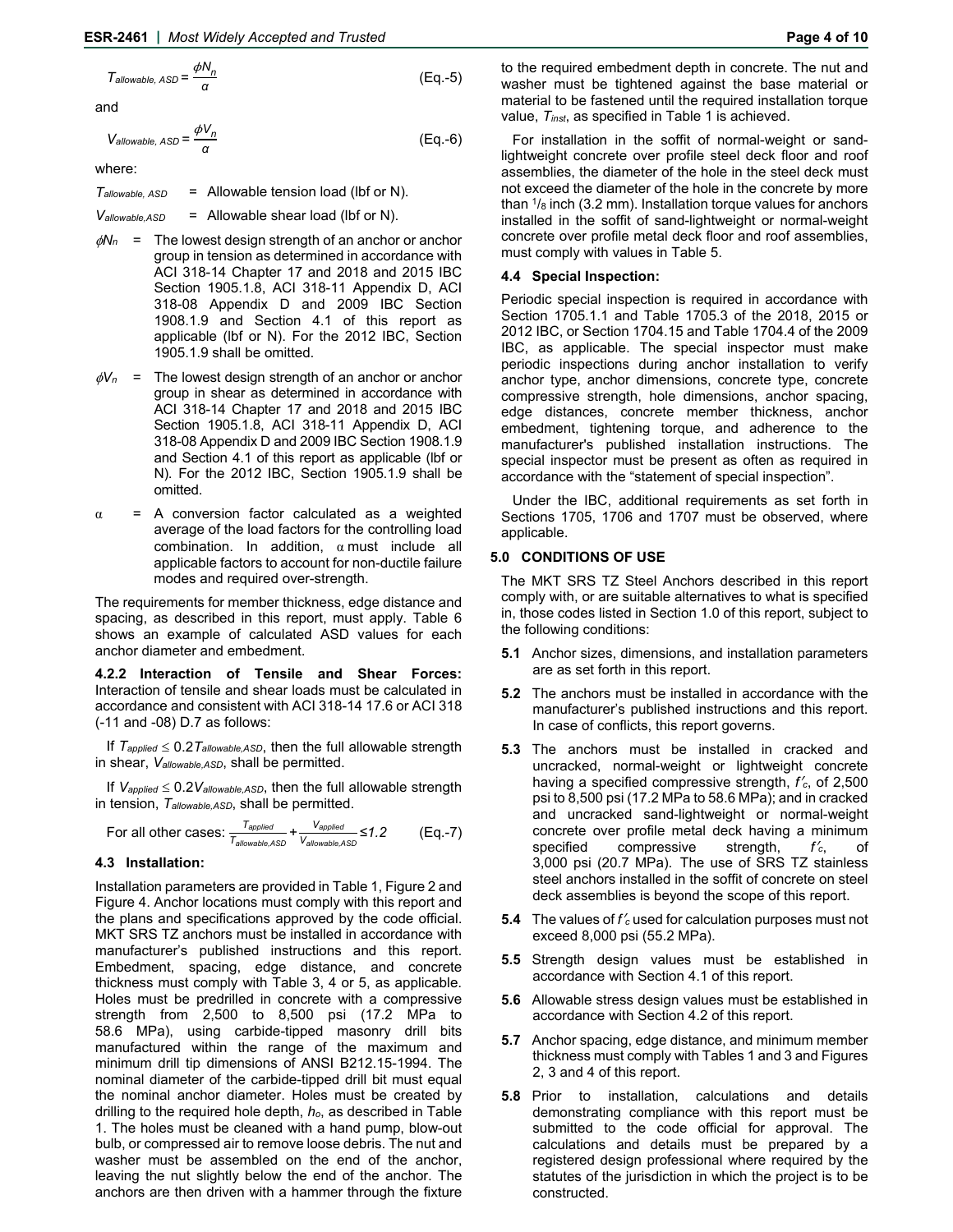$$
T_{\text{allowable, }ASD} = \frac{\phi N_n}{\alpha} \tag{Eq.-5}
$$

and

$$
V_{allowable, \,ASD} = \frac{\phi V_n}{\alpha} \tag{Eq.-6}
$$

where:

*Tallowable, ASD* = Allowable tension load (lbf or N).

*Vallowable,ASD* = Allowable shear load (lbf or N).

- $\phi N_n$  = The lowest design strength of an anchor or anchor group in tension as determined in accordance with ACI 318-14 Chapter 17 and 2018 and 2015 IBC Section 1905.1.8, ACI 318-11 Appendix D, ACI 318-08 Appendix D and 2009 IBC Section 1908.1.9 and Section 4.1 of this report as applicable (lbf or N). For the 2012 IBC, Section 1905.1.9 shall be omitted.
- $\phi V_n$  = The lowest design strength of an anchor or anchor group in shear as determined in accordance with ACI 318-14 Chapter 17 and 2018 and 2015 IBC Section 1905.1.8, ACI 318-11 Appendix D, ACI 318-08 Appendix D and 2009 IBC Section 1908.1.9 and Section 4.1 of this report as applicable (lbf or N). For the 2012 IBC, Section 1905.1.9 shall be omitted.
- $\alpha$  = A conversion factor calculated as a weighted average of the load factors for the controlling load combination. In addition,  $\alpha$  must include all applicable factors to account for non-ductile failure modes and required over-strength.

The requirements for member thickness, edge distance and spacing, as described in this report, must apply. Table 6 shows an example of calculated ASD values for each anchor diameter and embedment.

**4.2.2 Interaction of Tensile and Shear Forces:** Interaction of tensile and shear loads must be calculated in accordance and consistent with ACI 318-14 17.6 or ACI 318 (-11 and -08) D.7 as follows:

If  $T_{\text{applied}} \leq 0.2 T_{\text{allowable,ASD}}$ , then the full allowable strength in shear, *Vallowable,ASD*, shall be permitted.

If  $V_{\text{applied}} \leq 0.2V_{\text{allowable,ASD}}$ , then the full allowable strength in tension, *Tallowable,ASD*, shall be permitted.

For all other cases: *Tapplied Tallowable,ASD + Vapplied Vallowable,ASD ≤1.2* (Eq.-7)

## **4.3 Installation:**

Installation parameters are provided in Table 1, Figure 2 and Figure 4. Anchor locations must comply with this report and the plans and specifications approved by the code official. MKT SRS TZ anchors must be installed in accordance with manufacturer's published instructions and this report. Embedment, spacing, edge distance, and concrete thickness must comply with Table 3, 4 or 5, as applicable. Holes must be predrilled in concrete with a compressive strength from 2,500 to 8,500 psi (17.2 MPa to 58.6 MPa), using carbide-tipped masonry drill bits manufactured within the range of the maximum and minimum drill tip dimensions of ANSI B212.15-1994. The nominal diameter of the carbide-tipped drill bit must equal the nominal anchor diameter. Holes must be created by drilling to the required hole depth, *ho*, as described in Table 1. The holes must be cleaned with a hand pump, blow-out bulb, or compressed air to remove loose debris. The nut and washer must be assembled on the end of the anchor, leaving the nut slightly below the end of the anchor. The anchors are then driven with a hammer through the fixture

to the required embedment depth in concrete. The nut and washer must be tightened against the base material or material to be fastened until the required installation torque value, *Tinst*, as specified in Table 1 is achieved.

For installation in the soffit of normal-weight or sandlightweight concrete over profile steel deck floor and roof assemblies, the diameter of the hole in the steel deck must not exceed the diameter of the hole in the concrete by more than  $\frac{1}{8}$  inch (3.2 mm). Installation torque values for anchors installed in the soffit of sand-lightweight or normal-weight concrete over profile metal deck floor and roof assemblies, must comply with values in Table 5.

#### **4.4 Special Inspection:**

Periodic special inspection is required in accordance with Section 1705.1.1 and Table 1705.3 of the 2018, 2015 or 2012 IBC, or Section 1704.15 and Table 1704.4 of the 2009 IBC, as applicable. The special inspector must make periodic inspections during anchor installation to verify anchor type, anchor dimensions, concrete type, concrete compressive strength, hole dimensions, anchor spacing, edge distances, concrete member thickness, anchor embedment, tightening torque, and adherence to the manufacturer's published installation instructions. The special inspector must be present as often as required in accordance with the "statement of special inspection".

Under the IBC, additional requirements as set forth in Sections 1705, 1706 and 1707 must be observed, where applicable.

#### **5.0 CONDITIONS OF USE**

The MKT SRS TZ Steel Anchors described in this report comply with, or are suitable alternatives to what is specified in, those codes listed in Section 1.0 of this report, subject to the following conditions:

- **5.1** Anchor sizes, dimensions, and installation parameters are as set forth in this report.
- **5.2** The anchors must be installed in accordance with the manufacturer's published instructions and this report. In case of conflicts, this report governs.
- **5.3** The anchors must be installed in cracked and uncracked, normal-weight or lightweight concrete having a specified compressive strength, *f*′*c*, of 2,500 psi to 8,500 psi (17.2 MPa to 58.6 MPa); and in cracked and uncracked sand-lightweight or normal-weight concrete over profile metal deck having a minimum specified compressive strength, *f*′*c*, of 3,000 psi (20.7 MPa). The use of SRS TZ stainless steel anchors installed in the soffit of concrete on steel deck assemblies is beyond the scope of this report.
- **5.4** The values of *f*′*c* used for calculation purposes must not exceed 8,000 psi (55.2 MPa).
- **5.5** Strength design values must be established in accordance with Section 4.1 of this report.
- **5.6** Allowable stress design values must be established in accordance with Section 4.2 of this report.
- **5.7** Anchor spacing, edge distance, and minimum member thickness must comply with Tables 1 and 3 and Figures 2, 3 and 4 of this report.
- **5.8** Prior to installation, calculations and details demonstrating compliance with this report must be submitted to the code official for approval. The calculations and details must be prepared by a registered design professional where required by the statutes of the jurisdiction in which the project is to be constructed.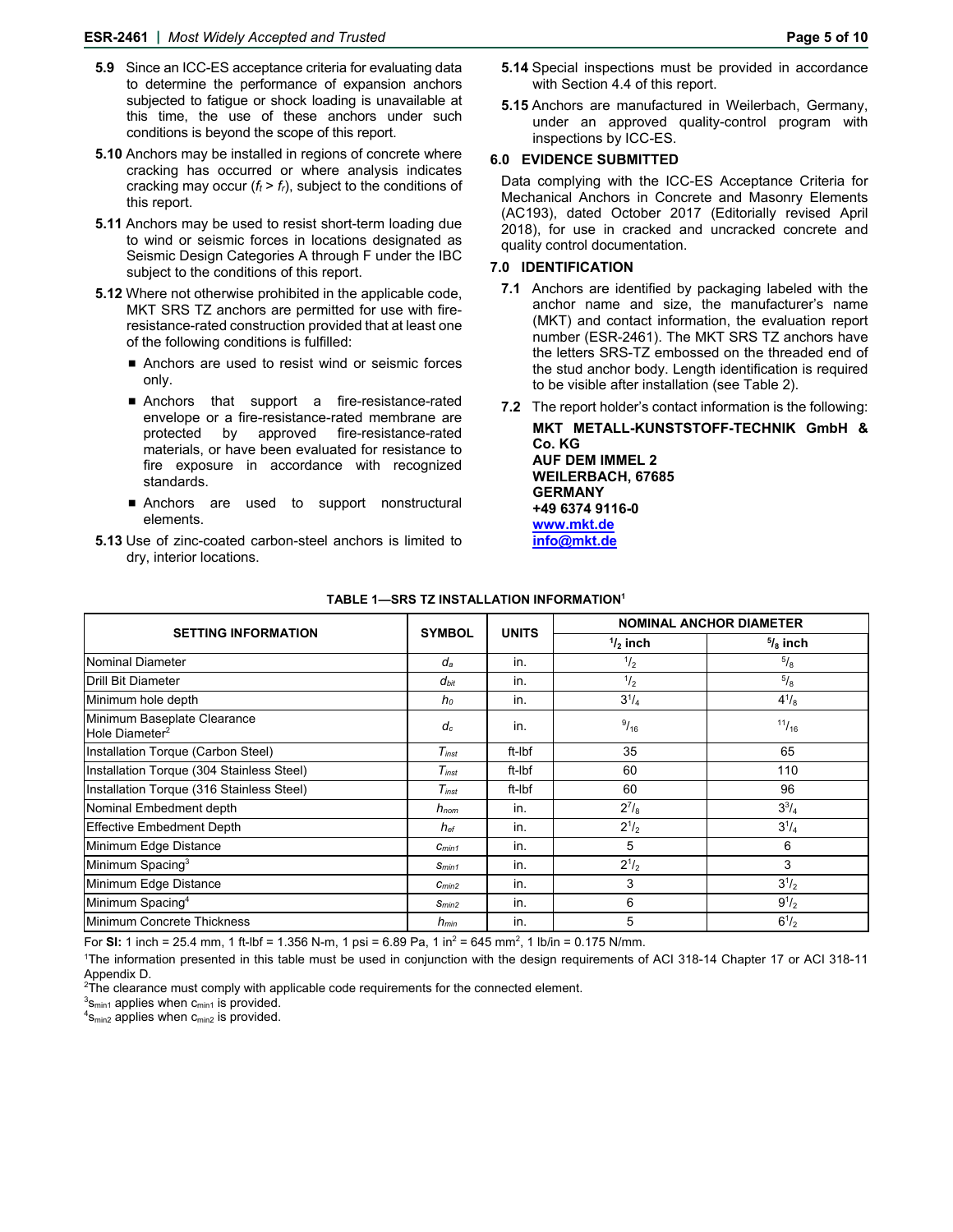- **5.9** Since an ICC-ES acceptance criteria for evaluating data to determine the performance of expansion anchors subjected to fatigue or shock loading is unavailable at this time, the use of these anchors under such conditions is beyond the scope of this report.
- **5.10** Anchors may be installed in regions of concrete where cracking has occurred or where analysis indicates cracking may occur  $(f_t > f_r)$ , subject to the conditions of this report.
- **5.11** Anchors may be used to resist short-term loading due to wind or seismic forces in locations designated as Seismic Design Categories A through F under the IBC subject to the conditions of this report.
- **5.12** Where not otherwise prohibited in the applicable code, MKT SRS TZ anchors are permitted for use with fireresistance-rated construction provided that at least one of the following conditions is fulfilled:
	- Anchors are used to resist wind or seismic forces only.
	- Anchors that support a fire-resistance-rated envelope or a fire-resistance-rated membrane are protected by approved fire-resistance-rated materials, or have been evaluated for resistance to fire exposure in accordance with recognized standards.
	- **Anchors** are used to support nonstructural elements.
- **5.13** Use of zinc-coated carbon-steel anchors is limited to dry, interior locations.
- **5.14** Special inspections must be provided in accordance with Section 4.4 of this report.
- **5.15** Anchors are manufactured in Weilerbach, Germany, under an approved quality-control program with inspections by ICC-ES.

### **6.0 EVIDENCE SUBMITTED**

Data complying with the ICC-ES Acceptance Criteria for Mechanical Anchors in Concrete and Masonry Elements (AC193), dated October 2017 (Editorially revised April 2018), for use in cracked and uncracked concrete and quality control documentation.

## **7.0 IDENTIFICATION**

- **7.1** Anchors are identified by packaging labeled with the anchor name and size, the manufacturer's name (MKT) and contact information, the evaluation report number (ESR-2461). The MKT SRS TZ anchors have the letters SRS-TZ embossed on the threaded end of the stud anchor body. Length identification is required to be visible after installation (see Table 2).
- **7.2** The report holder's contact information is the following: **MKT METALL-KUNSTSTOFF-TECHNIK GmbH & Co. KG AUF DEM IMMEL 2 WEILERBACH, 67685 GERMANY**

**+49 6374 9116-0 www.mkt.de info@mkt.de** 

| <b>SETTING INFORMATION</b>                                | <b>SYMBOL</b>     | <b>UNITS</b> | <b>NOMINAL ANCHOR DIAMETER</b> |                    |  |  |
|-----------------------------------------------------------|-------------------|--------------|--------------------------------|--------------------|--|--|
|                                                           |                   |              | $\frac{1}{2}$ inch             | $\frac{5}{8}$ inch |  |  |
| Nominal Diameter                                          | da                | in.          | $^{1/2}$                       | $^{5}/_{8}$        |  |  |
| <b>IDrill Bit Diameter</b>                                | $d_{bit}$         | in.          | $^{1/2}$                       | $^{5}/_8$          |  |  |
| Minimum hole depth                                        | $h_0$             | in.          | $3^{1}/_{4}$                   | $4^{1}/_{8}$       |  |  |
| Minimum Baseplate Clearance<br>Hole Diameter <sup>2</sup> | $d_c$             | in.          | $^{9}/_{16}$                   | 11/16              |  |  |
| Installation Torque (Carbon Steel)                        | $T_{inst}$        | ft-Ibf       | 35                             | 65                 |  |  |
| Installation Torque (304 Stainless Steel)                 | $T_{inst}$        | ft-Ibf       | 60                             | 110                |  |  |
| Installation Torque (316 Stainless Steel)                 | $T_{inst}$        | ft-Ibf       | 60                             | 96                 |  |  |
| Nominal Embedment depth                                   | $h_{nom}$         | in.          | $2^{7}/_{8}$                   | $3^{3}/_{4}$       |  |  |
| <b>Effective Embedment Depth</b>                          | $h_{\mathrm{e}f}$ | in.          | $2^{1/2}$                      | $3^{1}/_{4}$       |  |  |
| Minimum Edge Distance                                     | $C_{min1}$        | in.          | 5                              | 6                  |  |  |
| Minimum Spacing <sup>3</sup>                              | $S_{min1}$        | in.          | $2^{1/2}$                      | 3                  |  |  |
| Minimum Edge Distance                                     | $C_{min2}$        | in.          | 3                              | $3^{1/2}$          |  |  |
| Minimum Spacing <sup>4</sup>                              | S <sub>min2</sub> | in.          | 6                              | $9^{1/2}$          |  |  |
| Minimum Concrete Thickness                                | $h_{min}$         | in.          | 5                              | $6^{1/2}$          |  |  |

#### **TABLE 1—SRS TZ INSTALLATION INFORMATION1**

For **SI:** 1 inch = 25.4 mm, 1 ft-lbf = 1.356 N-m, 1 psi = 6.89 Pa, 1 in<sup>2</sup> = 645 mm<sup>2</sup>, 1 lb/in = 0.175 N/mm.

1 The information presented in this table must be used in conjunction with the design requirements of ACI 318-14 Chapter 17 or ACI 318-11 Appendix D.

<sup>2</sup>The clearance must comply with applicable code requirements for the connected element.<br><sup>3</sup>s a sapplies when some provided

 $3s<sub>min1</sub>$  applies when  $c<sub>min1</sub>$  is provided.

 $4s_{\text{min2}}$  applies when  $c_{\text{min2}}$  is provided.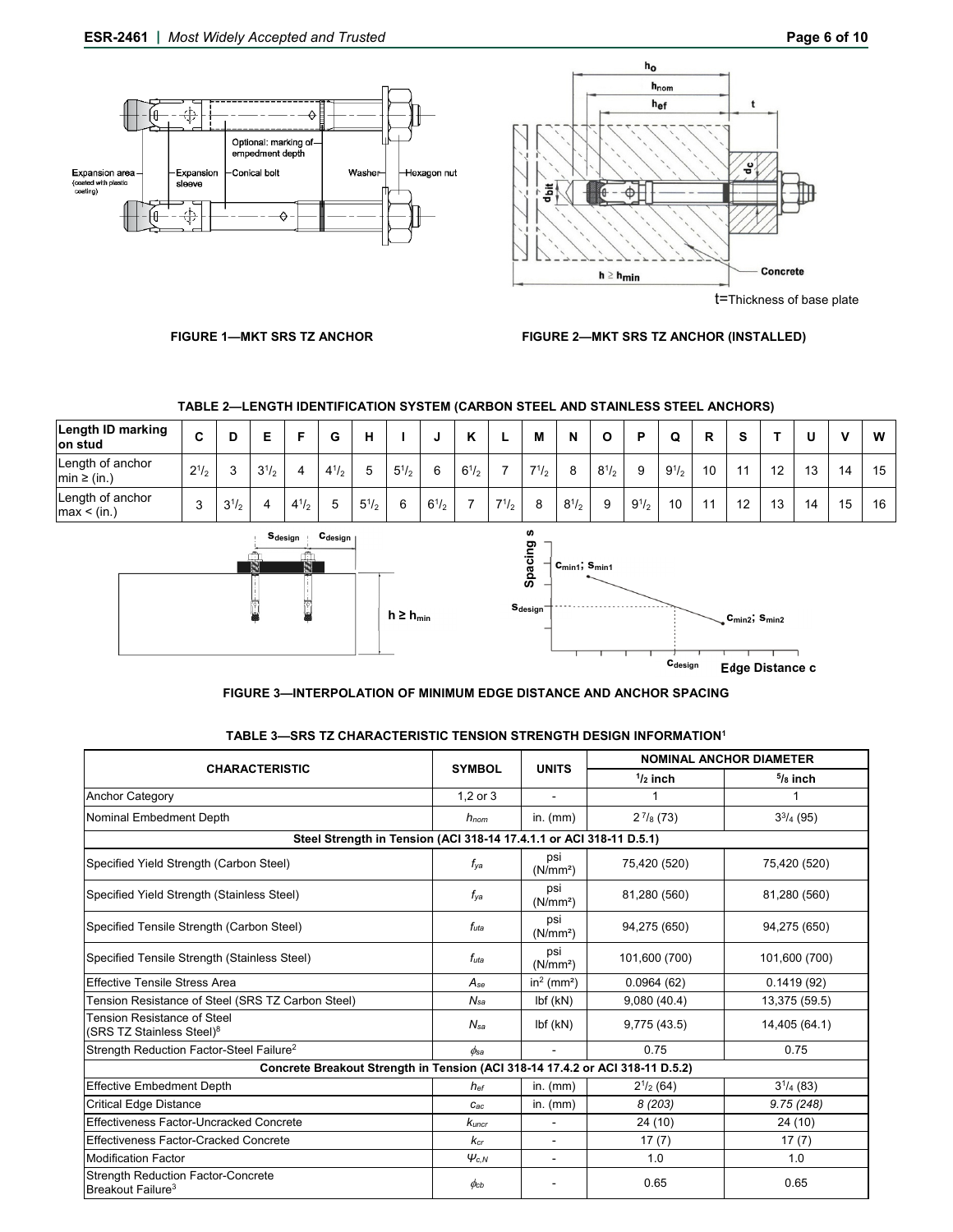

t=Thickness of base plate

## **FIGURE 1—MKT SRS TZ ANCHOR FIGURE 2—MKT SRS TZ ANCHOR (INSTALLED)**

# **TABLE 2—LENGTH IDENTIFICATION SYSTEM (CARBON STEEL AND STAINLESS STEEL ANCHORS)**

| <b>Length ID marking</b><br>lon stud | ⌒         |           |                       |           | ~         | н            |              |           | $\overline{ }$ |              | М             | N         | u            | D         | w         | R  |    |    |    | v  | W   |
|--------------------------------------|-----------|-----------|-----------------------|-----------|-----------|--------------|--------------|-----------|----------------|--------------|---------------|-----------|--------------|-----------|-----------|----|----|----|----|----|-----|
| Length of anchor<br>$min \ge (in.)$  | $2^{1/2}$ | ◠         | 2 <sup>1</sup><br>J12 | 4         | $4^{1/2}$ | h            | $5^{1}/_{2}$ | 6         | $6^{1/2}$      |              | $7^{1/2}$     | 8         | $8^{1}/_{2}$ | 9         | $9^{1/2}$ | 10 |    | 12 | 13 | 14 | 15. |
| Length of anchor<br>max < (in.)      | $\sim$    | $3^{1/2}$ |                       | $4^{1/2}$ | ∽         | $5^{1}/_{2}$ | 6            | $6^{1/2}$ |                | $7^{1}/_{2}$ | $\Omega$<br>Ő | $8^{1/2}$ | 9            | $9^{1/2}$ | 10        |    | 10 | 13 | 14 | 15 | 16  |





## **FIGURE 3—INTERPOLATION OF MINIMUM EDGE DISTANCE AND ANCHOR SPACING**

#### **TABLE 3—SRS TZ CHARACTERISTIC TENSION STRENGTH DESIGN INFORMATION1**

|                                                                               |                             |                             | <b>NOMINAL ANCHOR DIAMETER</b> |                          |  |  |
|-------------------------------------------------------------------------------|-----------------------------|-----------------------------|--------------------------------|--------------------------|--|--|
| <b>CHARACTERISTIC</b>                                                         | <b>SYMBOL</b>               | <b>UNITS</b>                | $1/2$ inch                     | $5/8$ inch               |  |  |
| <b>Anchor Category</b>                                                        | 1,2 or 3                    |                             | 1                              | 1                        |  |  |
| Nominal Embedment Depth                                                       | $h_{nom}$                   | in. $(mm)$                  | $2^{7}/_{8}$ (73)              | $3^{3}/_{4}$ (95)        |  |  |
| Steel Strength in Tension (ACI 318-14 17.4.1.1 or ACI 318-11 D.5.1)           |                             |                             |                                |                          |  |  |
| Specified Yield Strength (Carbon Steel)                                       | $f_{\mathsf{v} \mathsf{a}}$ | psi<br>(N/mm <sup>2</sup> ) | 75,420 (520)                   | 75,420 (520)             |  |  |
| Specified Yield Strength (Stainless Steel)                                    | $f_{\mathsf{v} \mathsf{a}}$ | psi<br>(N/mm <sup>2</sup> ) | 81,280 (560)                   | 81,280 (560)             |  |  |
| Specified Tensile Strength (Carbon Steel)                                     | $f_{uta}$                   | psi<br>(N/mm <sup>2</sup> ) | 94,275 (650)                   | 94,275 (650)             |  |  |
| Specified Tensile Strength (Stainless Steel)                                  | $f_{uta}$                   | psi<br>(N/mm <sup>2</sup> ) | 101,600 (700)                  | 101,600 (700)            |  |  |
| <b>Effective Tensile Stress Area</b>                                          | $A_{se}$                    | $in2$ (mm <sup>2</sup> )    | 0.0964(62)                     | $\overline{0.1419}$ (92) |  |  |
| Tension Resistance of Steel (SRS TZ Carbon Steel)                             | $N_{sa}$                    | Ibf(KN)                     | 9,080(40.4)                    | 13,375 (59.5)            |  |  |
| <b>Tension Resistance of Steel</b><br>(SRS TZ Stainless Steel) <sup>8</sup>   | $N_{sa}$                    | Ibf(KN)                     | 9,775 (43.5)                   | 14,405 (64.1)            |  |  |
| Strength Reduction Factor-Steel Failure <sup>2</sup>                          | $\phi$ sa                   | $\sim$                      | 0.75                           | 0.75                     |  |  |
| Concrete Breakout Strength in Tension (ACI 318-14 17.4.2 or ACI 318-11 D.5.2) |                             |                             |                                |                          |  |  |
| <b>Effective Embedment Depth</b>                                              | $h_{ef}$                    | in. $(mm)$                  | $2^{1/2}$ (64)                 | $3^{1}/_{4}$ (83)        |  |  |
| <b>Critical Edge Distance</b>                                                 | $C_{ac}$                    | in. $(mm)$                  | 8(203)                         | 9.75(248)                |  |  |
| Effectiveness Factor-Uncracked Concrete                                       | Kuncr                       | $\blacksquare$              | 24 (10)                        | 24 (10)                  |  |  |
| Effectiveness Factor-Cracked Concrete                                         | Kcr                         | $\blacksquare$              | 17(7)                          | 17(7)                    |  |  |
| <b>Modification Factor</b>                                                    | $\varphi_{c,N}$             | $\blacksquare$              | 1.0                            | 1.0                      |  |  |
| <b>Strength Reduction Factor-Concrete</b><br>Breakout Failure <sup>3</sup>    | $\phi$ cb                   |                             | 0.65                           | 0.65                     |  |  |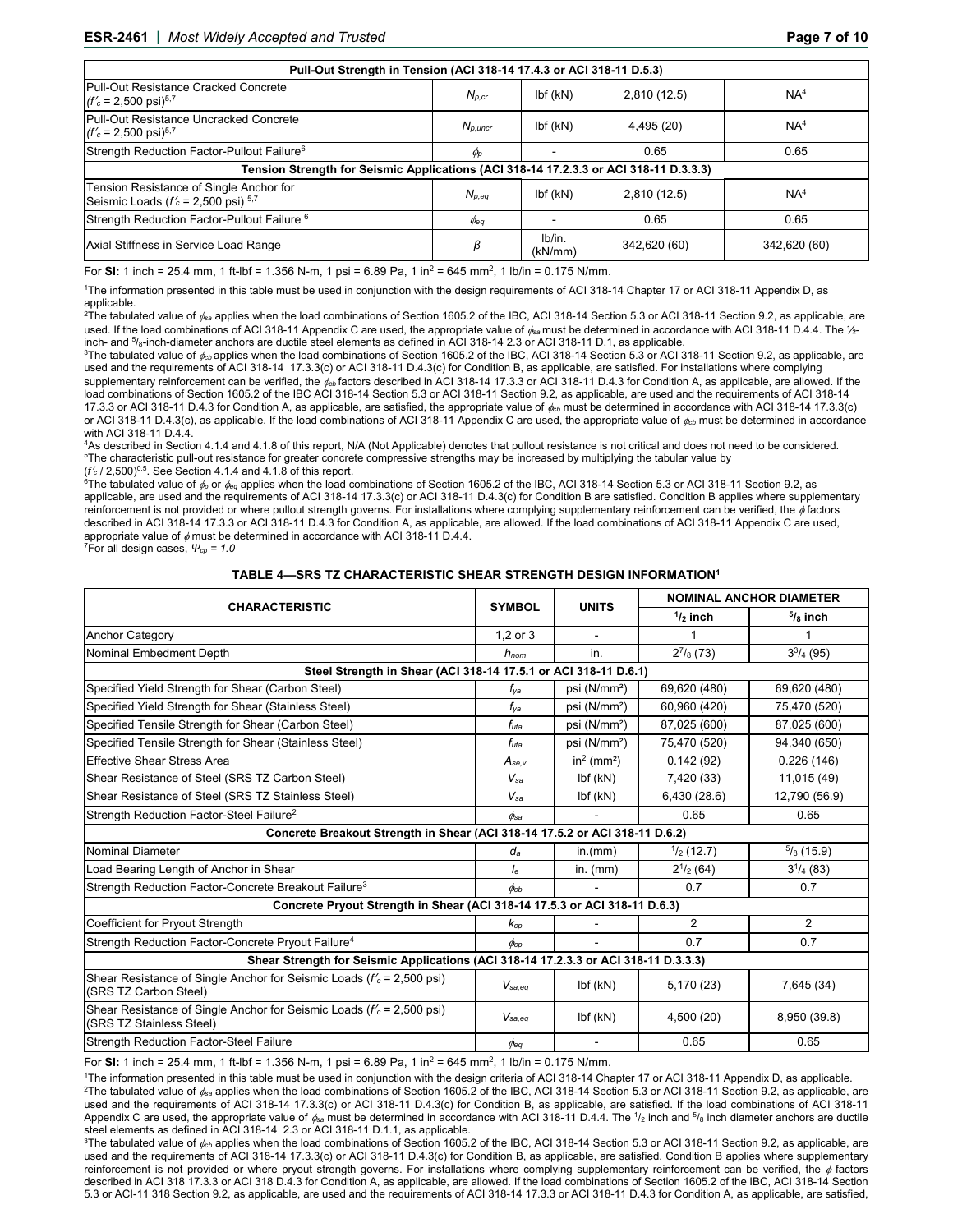| Pull-Out Strength in Tension (ACI 318-14 17.4.3 or ACI 318-11 D.5.3)                          |                      |                   |              |                 |  |  |  |  |  |
|-----------------------------------------------------------------------------------------------|----------------------|-------------------|--------------|-----------------|--|--|--|--|--|
| Pull-Out Resistance Cracked Concrete<br>$(f'_c = 2,500 \text{ psi})^{5.7}$                    | $N_{p,cr}$           | Ibf(KN)           | 2,810(12.5)  | NA <sup>4</sup> |  |  |  |  |  |
| Pull-Out Resistance Uncracked Concrete<br>$(f'_c = 2,500 \text{ psi})^{5.7}$                  | $N_{D.$ uncr         | Ibf(KN)           | 4,495 (20)   | NA <sup>4</sup> |  |  |  |  |  |
| Strength Reduction Factor-Pullout Failure <sup>6</sup>                                        | $\phi_{\mathcal{P}}$ |                   | 0.65         | 0.65            |  |  |  |  |  |
| Tension Strength for Seismic Applications (ACI 318-14 17.2.3.3 or ACI 318-11 D.3.3.3)         |                      |                   |              |                 |  |  |  |  |  |
| Tension Resistance of Single Anchor for<br>Seismic Loads ( $f'_c$ = 2,500 psi) <sup>5,7</sup> | $N_{p,eq}$           | Ibf(KN)           | 2,810(12.5)  | NA <sup>4</sup> |  |  |  |  |  |
| Strength Reduction Factor-Pullout Failure <sup>6</sup>                                        | $\phi_{\texttt{eq}}$ |                   | 0.65         | 0.65            |  |  |  |  |  |
| Axial Stiffness in Service Load Range                                                         |                      | lb/in.<br>(kN/mm) | 342,620 (60) | 342,620 (60)    |  |  |  |  |  |

For **Sl:** 1 inch = 25.4 mm, 1 ft-lbf = 1.356 N-m, 1 psi = 6.89 Pa, 1 in2 = 645 mm2, 1 lb/in = 0.175 N/mm.

1 The information presented in this table must be used in conjunction with the design requirements of ACI 318-14 Chapter 17 or ACI 318-11 Appendix D, as applicable.

2 The tabulated value of *sa* applies when the load combinations of Section 1605.2 of the IBC, ACI 318-14 Section 5.3 or ACI 318-11 Section 9.2, as applicable, are used. If the load combinations of ACI 318-11 Appendix C are used, the appropriate value of  $\phi_{\text{ss}}$  must be determined in accordance with ACI 318-11 D.4.4. The 1/<sub>2</sub>inch- and  $5/6$ -inch-diameter anchors are ductile steel elements as defined in ACI 318-14 2.3 or ACI 318-11 D.1, as applicable.

<sup>3</sup>The tabulated value of  $\phi_{bb}$  applies when the load combinations of Section 1605.2 of the IBC, ACI 318-14 Section 5.3 or ACI 318-11 Section 9.2, as applicable, are used and the requirements of ACI 318-14 17.3.3(c) or ACI 318-11 D.4.3(c) for Condition B, as applicable, are satisfied. For installations where complying supplementary reinforcement can be verified, the  $\phi_{\text{cb}}$  factors described in ACI 318-14 17.3.3 or ACI 318-11 D.4.3 for Condition A, as applicable, are allowed. If the load combinations of Section 1605.2 of the IBC ACI 318-14 Section 5.3 or ACI 318-11 Section 9.2, as applicable, are used and the requirements of ACI 318-14 17.3.3 or ACI 318-11 D.4.3 for Condition A, as applicable, are satisfied, the appropriate value of  $\phi_{\rm cb}$  must be determined in accordance with ACI 318-14 17.3.3(c) or ACI 318-11 D.4.3(c), as applicable. If the load combinations of ACI 318-11 Appendix C are used, the appropriate value of  $\phi_{cb}$  must be determined in accordance with ACI 318-11 D.4.4.

4As described in Section 4.1.4 and 4.1.8 of this report, N/A (Not Applicable) denotes that pullout resistance is not critical and does not need to be considered. <sup>5</sup>The characteristic pull-out resistance for greater concrete compressive strengths may be increased by multiplying the tabular value by

(*f'<sub>c</sub>* / 2,500)<sup>0.5</sup>. See Section 4.1.4 and 4.1.8 of this report.<br><sup>6</sup>The tabulated value of  $\phi_\mathrm{p}$  or  $\phi_\mathrm{eq}$  applies when the load combinations of Section 1605.2 of the IBC, ACI 318-14 Section 5.3 or ACI 318-11 Se applicable, are used and the requirements of ACI 318-14 17.3.3(c) or ACI 318-11 D.4.3(c) for Condition B are satisfied. Condition B applies where supplementary reinforcement is not provided or where pullout strength governs. For installations where complying supplementary reinforcement can be verified, the ¢factors<br>described in ACI 318-14 17.3.3 or ACI 318-11 D.4.3 for Condition appropriate value of  $\phi$  must be determined in accordance with ACI 318-11 D.4.4.<br><sup>7</sup>For all design cases, *Ψ<sub></sub> φ* = 1.0

#### **TABLE 4—SRS TZ CHARACTERISTIC SHEAR STRENGTH DESIGN INFORMATION1**

|                                                                                                       |                      |                          | <b>NOMINAL ANCHOR DIAMETER</b> |                      |  |  |
|-------------------------------------------------------------------------------------------------------|----------------------|--------------------------|--------------------------------|----------------------|--|--|
| <b>CHARACTERISTIC</b>                                                                                 | <b>SYMBOL</b>        | <b>UNITS</b>             | $\frac{1}{2}$ inch             | $5/8$ inch           |  |  |
| <b>Anchor Category</b>                                                                                | $1,2$ or $3$         |                          |                                |                      |  |  |
| Nominal Embedment Depth                                                                               | hnom                 | in.                      | $2^{7}/(873)$                  | $3^{3}/_{4}$ (95)    |  |  |
| Steel Strength in Shear (ACI 318-14 17.5.1 or ACI 318-11 D.6.1)                                       |                      |                          |                                |                      |  |  |
| Specified Yield Strength for Shear (Carbon Steel)                                                     | $f_{\mathsf{ya}}$    | psi (N/mm <sup>2</sup> ) | 69,620 (480)                   | 69,620 (480)         |  |  |
| Specified Yield Strength for Shear (Stainless Steel)                                                  | $f_{\rm{va}}$        | psi (N/mm <sup>2</sup> ) | 60,960 (420)                   | 75,470 (520)         |  |  |
| Specified Tensile Strength for Shear (Carbon Steel)                                                   | $f_{uta}$            | psi (N/mm <sup>2</sup> ) | 87,025 (600)                   | 87,025 (600)         |  |  |
| Specified Tensile Strength for Shear (Stainless Steel)                                                | $f_{uta}$            | psi (N/mm <sup>2</sup> ) | 75,470 (520)                   | 94,340 (650)         |  |  |
| <b>Effective Shear Stress Area</b>                                                                    | $A_{se,v}$           | $in2$ (mm <sup>2</sup> ) | 0.142(92)                      | 0.226(146)           |  |  |
| Shear Resistance of Steel (SRS TZ Carbon Steel)                                                       | $V_{sa}$             | Ibf(KN)                  | 7,420 (33)                     | 11,015 (49)          |  |  |
| Shear Resistance of Steel (SRS TZ Stainless Steel)                                                    | $V_{sa}$             | Ibf(KN)                  | 6,430 (28.6)                   | 12,790 (56.9)        |  |  |
| Strength Reduction Factor-Steel Failure <sup>2</sup>                                                  | $\phi_{\texttt{sa}}$ |                          | 0.65                           | 0.65                 |  |  |
| Concrete Breakout Strength in Shear (ACI 318-14 17.5.2 or ACI 318-11 D.6.2)                           |                      |                          |                                |                      |  |  |
| <b>Nominal Diameter</b>                                                                               | $d_a$                | in.(mm)                  | $\frac{1}{2}$ (12.7)           | $\frac{5}{8}$ (15.9) |  |  |
| Load Bearing Length of Anchor in Shear                                                                | le                   | in. $(mm)$               | $2^{1/2}$ (64)                 | $3^{1}/_{4}$ (83)    |  |  |
| Strength Reduction Factor-Concrete Breakout Failure <sup>3</sup>                                      | $\phi_{cb}$          |                          | 0.7                            | 0.7                  |  |  |
| Concrete Pryout Strength in Shear (ACI 318-14 17.5.3 or ACI 318-11 D.6.3)                             |                      |                          |                                |                      |  |  |
| Coefficient for Pryout Strength                                                                       | $K_{CD}$             |                          | $\overline{2}$                 | 2                    |  |  |
| Strength Reduction Factor-Concrete Pryout Failure <sup>4</sup>                                        | $\phi_{\text{CD}}$   |                          | 0.7                            | 0.7                  |  |  |
| Shear Strength for Seismic Applications (ACI 318-14 17.2.3.3 or ACI 318-11 D.3.3.3)                   |                      |                          |                                |                      |  |  |
| Shear Resistance of Single Anchor for Seismic Loads ( $f_c$ = 2,500 psi)<br>(SRS TZ Carbon Steel)     | $V_{sa,ea}$          | Ibf(KN)                  | 5,170 (23)                     | 7,645 (34)           |  |  |
| Shear Resistance of Single Anchor for Seismic Loads ( $f_c' = 2,500$ psi)<br>(SRS TZ Stainless Steel) | $V_{sa,ea}$          | Ibf(KN)                  | 4,500 (20)                     | 8,950 (39.8)         |  |  |
| <b>Strength Reduction Factor-Steel Failure</b>                                                        | $\phi$ eq            |                          | 0.65                           | 0.65                 |  |  |

For **Sl:** 1 inch = 25.4 mm, 1 ft-lbf = 1.356 N-m, 1 psi = 6.89 Pa, 1 in2 = 645 mm2, 1 lb/in = 0.175 N/mm.

1The information presented in this table must be used in conjunction with the design criteria of ACI 318-14 Chapter 17 or ACI 318-11 Appendix D, as applicable. <sup>2</sup>The tabulated value of  $\phi_{\text{sa}}$  applies when the load combinations of Section 1605.2 of the IBC, ACI 318-14 Section 5.3 or ACI 318-11 Section 9.2, as applicable, are used and the requirements of ACI 318-14 17.3.3(c) or ACI 318-11 D.4.3(c) for Condition B, as applicable, are satisfied. If the load combinations of ACI 318-11 Appendix C are used, the appropriate value of  $\phi_{\rm sa}$  must be determined in accordance with ACI 318-11 D.4.4. The 1/<sub>2</sub> inch and <sup>5</sup>/<sub>8</sub> inch diameter anchors are ductile steel elements as defined in ACI 318-14 2.3 or ACI 318-11 D.1.1, as applicable.<br><sup>3</sup>The tabulated value of <sub>¢eb</sub> applies when the load combinations of Section 1605.2 of the IBC, ACI 318-14 Section 5.3 or ACI 318-11 Section

used and the requirements of ACI 318-14 17.3.3(c) or ACI 318-11 D.4.3(c) for Condition B, as applicable, are satisfied. Condition B applies where supplementary reinforcement is not provided or where pryout strength governs. For installations where complying supplementary reinforcement can be verified, the  $\phi$  factors described in ACI 318 17.3.3 or ACI 318 D.4.3 for Condition A, as applicable, are allowed. If the load combinations of Section 1605.2 of the IBC, ACI 318-14 Section 5.3 or ACI-11 318 Section 9.2, as applicable, are used and the requirements of ACI 318-14 17.3.3 or ACI 318-11 D.4.3 for Condition A, as applicable, are satisfied,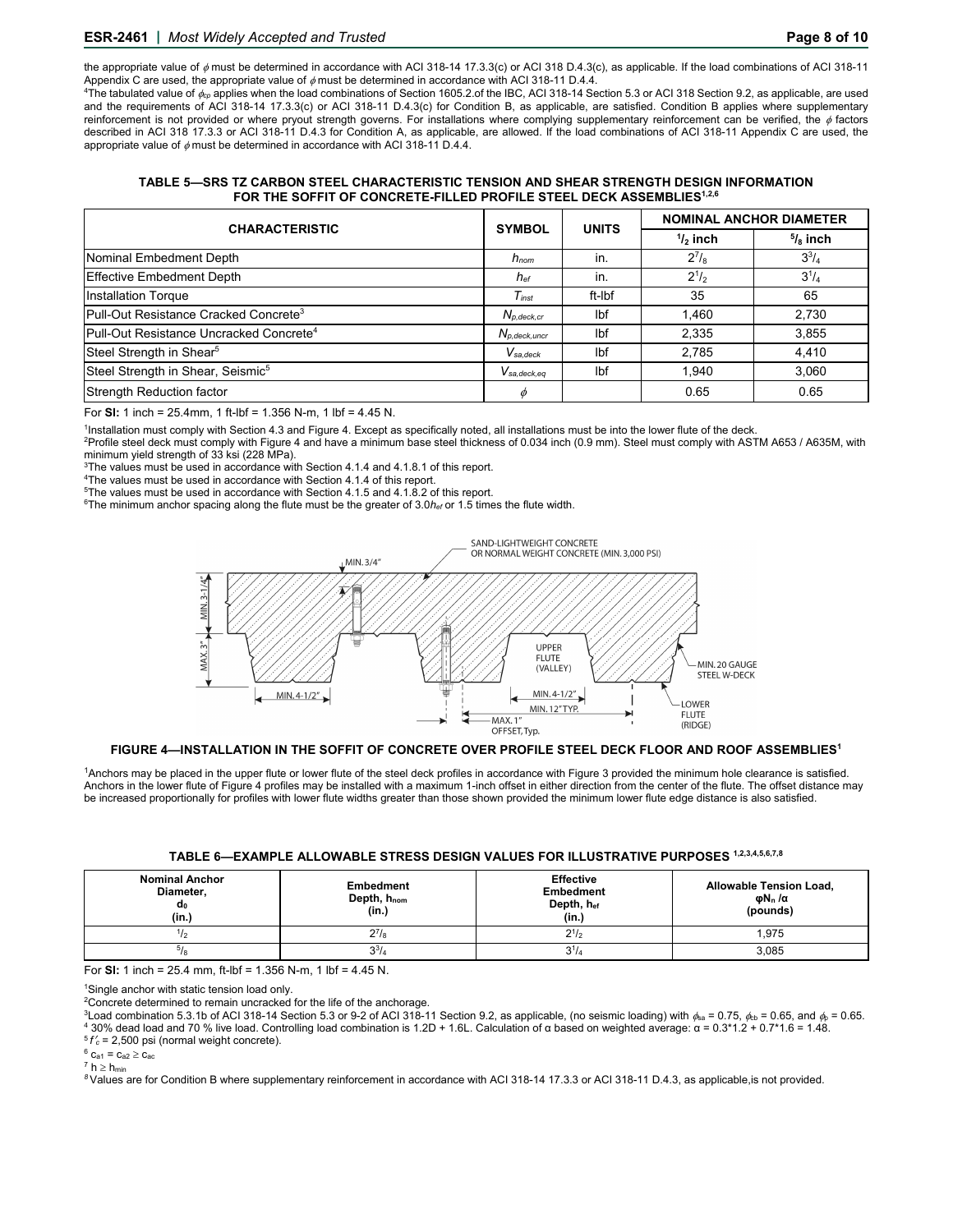# **ESR-2461 |** *Most Widely Accepted and Trusted* **Page 8 of 10**

the appropriate value of  $\phi$  must be determined in accordance with ACI 318-14 17.3.3(c) or ACI 318 D.4.3(c), as applicable. If the load combinations of ACI 318-11 Appendix C are used, the appropriate value of ømust be determined in accordance with ACI 318-11 D.4.4.<br><sup>4</sup>The tabulated value of <sub>¢c</sub>, applies when the load combinations of Section 1605.2.of the IBC, ACI 318-14 Section 5.

and the requirements of ACI 318-14 17.3.3(c) or ACI 318-11 D.4.3(c) for Condition B, as applicable, are satisfied. Condition B applies where supplementary reinforcement is not provided or where pryout strength governs. For installations where complying supplementary reinforcement can be verified, the  $\phi$  factors described in ACI 318 17.3.3 or ACI 318-11 D.4.3 for Condition A, as applicable, are allowed. If the load combinations of ACI 318-11 Appendix C are used, the appropriate value of  $\phi$  must be determined in accordance with ACI 318-11 D.4.4.

**TABLE 5—SRS TZ CARBON STEEL CHARACTERISTIC TENSION AND SHEAR STRENGTH DESIGN INFORMATION**  FOR THE SOFFIT OF CONCRETE-FILLED PROFILE STEEL DECK ASSEMBLIES<sup>1,2,6</sup>

| <b>CHARACTERISTIC</b>                               | <b>SYMBOL</b>       | <b>UNITS</b> | <b>NOMINAL ANCHOR DIAMETER</b> |              |  |  |
|-----------------------------------------------------|---------------------|--------------|--------------------------------|--------------|--|--|
|                                                     |                     |              | $1/2$ inch                     | $5/8$ inch   |  |  |
| Nominal Embedment Depth                             | $h_{nom}$           | in.          | $2^{7}/_{8}$                   | $3^{3}/_{4}$ |  |  |
| Effective Embedment Depth                           | $h_{\text{\it ef}}$ | in.          | $2^{1/2}$                      | $3^{1/4}$    |  |  |
| <b>Installation Torque</b>                          | $T_{inst}$          | ft-Ibf       | 35                             | 65           |  |  |
| Pull-Out Resistance Cracked Concrete <sup>3</sup>   | $N_{p, deck, cr}$   | Ibf          | 1.460                          | 2,730        |  |  |
| Pull-Out Resistance Uncracked Concrete <sup>4</sup> | $N_{p, deck, uncr}$ | Ibf          | 2,335                          | 3,855        |  |  |
| Steel Strength in Shear <sup>5</sup>                | $V_{sa,deck}$       | Ibf          | 2,785                          | 4,410        |  |  |
| Steel Strength in Shear, Seismic <sup>5</sup>       | $V_{sa,deck,eq}$    | lbf          | 1.940                          | 3,060        |  |  |
| <b>Strength Reduction factor</b>                    | m                   |              | 0.65                           | 0.65         |  |  |

For **Sl:** 1 inch = 25.4mm, 1 ft-lbf = 1.356 N-m, 1 lbf = 4.45 N.

<sup>1</sup>Installation must comply with Section 4.3 and Figure 4. Except as specifically noted, all installations must be into the lower flute of the deck.<br><sup>2</sup>Profile steel deck must comply with Figure 4 and have a minimum base s

 $3$ The values must be used in accordance with Section 4.1.4 and 4.1.8.1 of this report.  $4$ The values must be used in accordance with Section 4.1.4 of this report.

<sup>5</sup>The values must be used in accordance with Section 4.1.5 and 4.1.8.2 of this report.

<sup>6</sup>The minimum anchor spacing along the flute must be the greater of 3.0h<sub>ef</sub> or 1.5 times the flute width.



## **FIGURE 4—INSTALLATION IN THE SOFFIT OF CONCRETE OVER PROFILE STEEL DECK FLOOR AND ROOF ASSEMBLIES1**

1Anchors may be placed in the upper flute or lower flute of the steel deck profiles in accordance with Figure 3 provided the minimum hole clearance is satisfied. Anchors in the lower flute of Figure 4 profiles may be installed with a maximum 1-inch offset in either direction from the center of the flute. The offset distance may be increased proportionally for profiles with lower flute widths greater than those shown provided the minimum lower flute edge distance is also satisfied.

#### **TABLE 6—EXAMPLE ALLOWABLE STRESS DESIGN VALUES FOR ILLUSTRATIVE PURPOSES 1,2,3,4,5,6,7,8**

| <b>Nominal Anchor</b><br>Diameter,<br>αo<br>(in.) | <b>Embedment</b><br>Depth, h <sub>nom</sub><br>(in.) | <b>Effective</b><br><b>Embedment</b><br>Depth, hef<br>(in.) | Allowable Tension Load,<br>φ $N_n/\alpha$<br>(pounds) |  |  |
|---------------------------------------------------|------------------------------------------------------|-------------------------------------------------------------|-------------------------------------------------------|--|--|
|                                                   | $2^7$ /8                                             | $2^{1/2}$                                                   | 1,975                                                 |  |  |
| -18                                               | $3^{3}/_{4}$                                         | $3^{1}/4$                                                   | 3,085                                                 |  |  |

For **Sl:** 1 inch = 25.4 mm, ft-lbf = 1.356 N-m, 1 lbf = 4.45 N.

1 Single anchor with static tension load only.

<sup>2</sup>Concrete determined to remain uncracked for the life of the anchorage.

<sup>3</sup>Load combination 5.3.1b of ACI 318-14 Section 5.3 or 9-2 of ACI 318-11 Section 9.2, as applicable, (no seismic loading) with φ<sub>8a</sub> = 0.75, φ<sub>b</sub> = 0.65, and φ<sub>p</sub> = 0.65.<br><sup>4</sup> 30% dead load and 70 % live load. Controlli

 $7 h \geq h_{min}$ 

*8* Values are for Condition B where supplementary reinforcement in accordance with ACI 318-14 17.3.3 or ACI 318-11 D.4.3, as applicable,is not provided.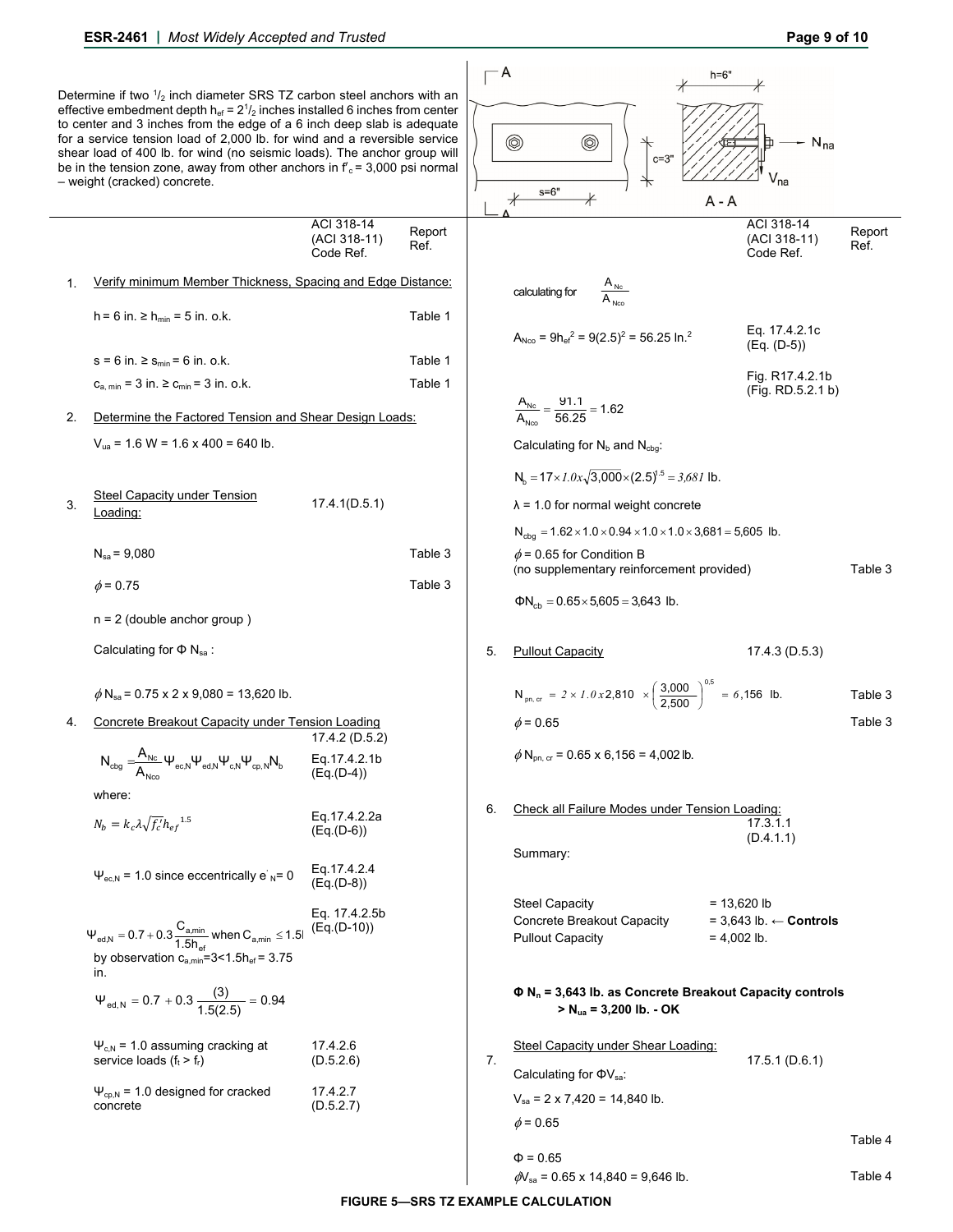|    | Determine if two $\frac{1}{2}$ inch diameter SRS TZ carbon steel anchors with an<br>effective embedment depth $h_{ef} = 2^{1/2}$ inches installed 6 inches from center<br>to center and 3 inches from the edge of a 6 inch deep slab is adequate<br>for a service tension load of 2,000 lb. for wind and a reversible service<br>shear load of 400 lb. for wind (no seismic loads). The anchor group will<br>be in the tension zone, away from other anchors in $f_c = 3,000$ psi normal<br>- weight (cracked) concrete. |                                         |                | - A | $^{\circledR}$<br>◉<br>$c = 3"$<br>$s = 6"$<br>$^\ast$                                                  | $h=6'$<br>$N_{na}$<br>$V_{na}$<br>$A - A$                             |                |
|----|--------------------------------------------------------------------------------------------------------------------------------------------------------------------------------------------------------------------------------------------------------------------------------------------------------------------------------------------------------------------------------------------------------------------------------------------------------------------------------------------------------------------------|-----------------------------------------|----------------|-----|---------------------------------------------------------------------------------------------------------|-----------------------------------------------------------------------|----------------|
|    |                                                                                                                                                                                                                                                                                                                                                                                                                                                                                                                          | ACI 318-14<br>(ACI 318-11)<br>Code Ref. | Report<br>Ref. |     |                                                                                                         | ACI 318-14<br>(ACI 318-11)<br>Code Ref.                               | Report<br>Ref. |
| 1. | Verify minimum Member Thickness, Spacing and Edge Distance:                                                                                                                                                                                                                                                                                                                                                                                                                                                              |                                         |                |     | $\frac{A_{\text{Nc}}}{A_{\text{Nco}}}$<br>calculating for                                               |                                                                       |                |
|    | $h = 6$ in. $\ge h_{min} = 5$ in. o.k.                                                                                                                                                                                                                                                                                                                                                                                                                                                                                   |                                         | Table 1        |     | $A_{Nco} = 9h_{\text{ef}}^2 = 9(2.5)^2 = 56.25 \text{ ln.}^2$                                           | Eq. 17.4.2.1c                                                         |                |
|    | $s = 6$ in. $\ge s_{min} = 6$ in. o.k.                                                                                                                                                                                                                                                                                                                                                                                                                                                                                   |                                         | Table 1        |     |                                                                                                         | $(Eq. (D-5))$                                                         |                |
|    | $c_{a, min} = 3$ in. $\ge c_{min} = 3$ in. o.k.                                                                                                                                                                                                                                                                                                                                                                                                                                                                          |                                         | Table 1        |     |                                                                                                         | Fig. R17.4.2.1b                                                       |                |
| 2. | Determine the Factored Tension and Shear Design Loads:                                                                                                                                                                                                                                                                                                                                                                                                                                                                   |                                         |                |     | $\frac{A_{\text{Nc}}}{A_{\text{Nco}}} = \frac{91.1}{56.25} = 1.62$                                      | (Fig. RD.5.2.1 b)                                                     |                |
|    | $V_{ua}$ = 1.6 W = 1.6 x 400 = 640 lb.                                                                                                                                                                                                                                                                                                                                                                                                                                                                                   |                                         |                |     | Calculating for $N_b$ and $N_{cba}$ .                                                                   |                                                                       |                |
|    |                                                                                                                                                                                                                                                                                                                                                                                                                                                                                                                          |                                         |                |     | $N_h = 17 \times 1.0x \sqrt{3,000} \times (2.5)^{1.5} = 3,681$ lb.                                      |                                                                       |                |
| 3. | Steel Capacity under Tension                                                                                                                                                                                                                                                                                                                                                                                                                                                                                             | 17.4.1(D.5.1)                           |                |     | $\lambda$ = 1.0 for normal weight concrete                                                              |                                                                       |                |
|    | Loading:                                                                                                                                                                                                                                                                                                                                                                                                                                                                                                                 |                                         |                |     | $N_{cbq} = 1.62 \times 1.0 \times 0.94 \times 1.0 \times 1.0 \times 3,681 = 5,605$ lb.                  |                                                                       |                |
|    | $N_{sa} = 9,080$                                                                                                                                                                                                                                                                                                                                                                                                                                                                                                         |                                         | Table 3        |     | $\phi$ = 0.65 for Condition B                                                                           |                                                                       |                |
|    | $\phi$ = 0.75                                                                                                                                                                                                                                                                                                                                                                                                                                                                                                            |                                         | Table 3        |     | (no supplementary reinforcement provided)                                                               |                                                                       | Table 3        |
|    |                                                                                                                                                                                                                                                                                                                                                                                                                                                                                                                          |                                         |                |     | $\Phi N_{cb} = 0.65 \times 5,605 = 3,643$ lb.                                                           |                                                                       |                |
|    | $n = 2$ (double anchor group)                                                                                                                                                                                                                                                                                                                                                                                                                                                                                            |                                         |                |     |                                                                                                         |                                                                       |                |
|    | Calculating for $\Phi$ N <sub>sa</sub> :                                                                                                                                                                                                                                                                                                                                                                                                                                                                                 |                                         |                | 5.  | <b>Pullout Capacity</b>                                                                                 | 17.4.3 (D.5.3)                                                        |                |
|    | $\phi$ N <sub>sa</sub> = 0.75 x 2 x 9,080 = 13,620 lb.                                                                                                                                                                                                                                                                                                                                                                                                                                                                   |                                         |                |     | $N_{pn, cr}$ = 2 × 1.0 x 2,810 $\times \left(\frac{3,000}{2,500}\right)^{0.5}$ = 6,156 lb.              |                                                                       | Table 3        |
| 4. | Concrete Breakout Capacity under Tension Loading                                                                                                                                                                                                                                                                                                                                                                                                                                                                         | 17.4.2 (D.5.2)                          |                |     | $\phi$ = 0.65                                                                                           |                                                                       | Table 3        |
|    | $N_{\text{cbg}} = \hspace{-1em} \frac{A_{\text{Nc}}}{A_{\text{Nto}}} \Psi_{\text{ec,N}} \Psi_{\text{ed,N}} \Psi_{\text{c,N}} \Psi_{\text{cp,N}} N_{\text{b}}$                                                                                                                                                                                                                                                                                                                                                            | Eq.17.4.2.1b<br>$(Eq.(D-4))$            |                |     | $\phi$ N <sub>pn, cr</sub> = 0.65 x 6,156 = 4,002 lb.                                                   |                                                                       |                |
|    | where:                                                                                                                                                                                                                                                                                                                                                                                                                                                                                                                   |                                         |                | 6.  | Check all Failure Modes under Tension Loading:                                                          |                                                                       |                |
|    | $N_b = k_c \lambda \sqrt{f'_c} h_{ef}^{1.5}$                                                                                                                                                                                                                                                                                                                                                                                                                                                                             | Eq.17.4.2.2a<br>(Eq.(D-6))              |                |     |                                                                                                         | 17.3.1.1<br>(D.4.1.1)                                                 |                |
|    | $\Psi_{\text{ec,N}}$ = 1.0 since eccentrically e' <sub>N</sub> = 0                                                                                                                                                                                                                                                                                                                                                                                                                                                       | Eq.17.4.2.4<br>(Eq.(D-8))               |                |     | Summary:                                                                                                |                                                                       |                |
|    | $\Psi_{\text{ed,N}} = 0.7 + 0.3 \frac{C_{\text{a,min}}}{1.5 h_{\text{of}}}$ when $C_{\text{a,min}} \le 1.5 h_{\text{of}}$                                                                                                                                                                                                                                                                                                                                                                                                | Eq. 17.4.2.5b<br>$(Eq.(D-10))$          |                |     | <b>Steel Capacity</b><br>Concrete Breakout Capacity<br><b>Pullout Capacity</b>                          | $= 13,620$ lb<br>$= 3,643$ lb. $\leftarrow$ Controls<br>$= 4.002$ lb. |                |
|    | by observation $c_{a,min} = 3 < 1.5 h_{ef} = 3.75$<br>in.                                                                                                                                                                                                                                                                                                                                                                                                                                                                |                                         |                |     |                                                                                                         |                                                                       |                |
|    | $\Psi_{\text{ed,N}} = 0.7 + 0.3 \frac{(3)}{1.5(2.5)} = 0.94$                                                                                                                                                                                                                                                                                                                                                                                                                                                             |                                         |                |     | $\Phi$ N <sub>n</sub> = 3,643 lb. as Concrete Breakout Capacity controls<br>$> N_{ua} = 3,200$ lb. - OK |                                                                       |                |
|    | $\Psi_{c,N}$ = 1.0 assuming cracking at<br>service loads $(f_t > f_r)$                                                                                                                                                                                                                                                                                                                                                                                                                                                   | 17.4.2.6<br>(D.5.2.6)                   |                | 7.  | Steel Capacity under Shear Loading:                                                                     | 17.5.1(D.6.1)                                                         |                |
|    | $\Psi_{cp,N}$ = 1.0 designed for cracked                                                                                                                                                                                                                                                                                                                                                                                                                                                                                 | 17.4.2.7                                |                |     | Calculating for $\Phi V_{sa}$ :<br>$V_{sa}$ = 2 x 7,420 = 14,840 lb.                                    |                                                                       |                |
|    | concrete                                                                                                                                                                                                                                                                                                                                                                                                                                                                                                                 | (D.5.2.7)                               |                |     | $\phi$ = 0.65                                                                                           |                                                                       |                |
|    |                                                                                                                                                                                                                                                                                                                                                                                                                                                                                                                          |                                         |                |     | $\Phi = 0.65$                                                                                           |                                                                       | Table 4        |

**FIGURE 5—SRS TZ EXAMPLE CALCULATION** 

 $\phi$ V<sub>sa</sub> = 0.65 x 14,840 = 9,646 lb. Table 4